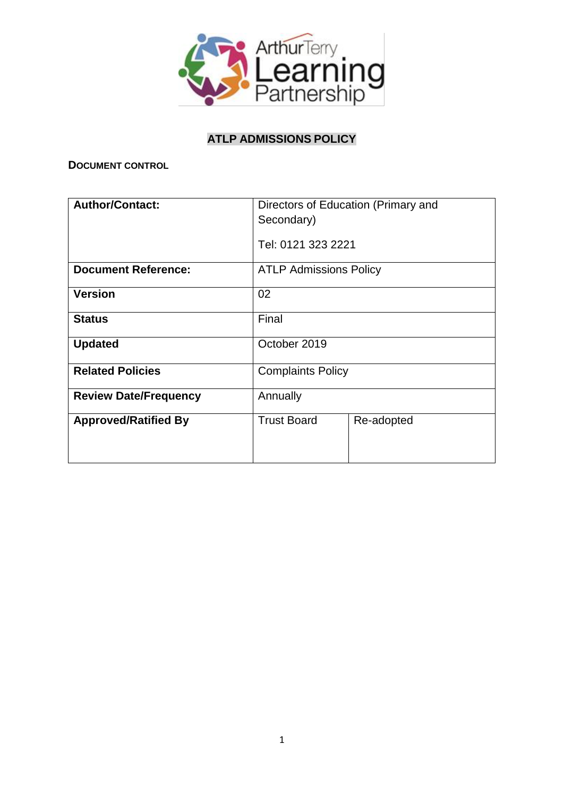

# **ATLP ADMISSIONS POLICY**

**DOCUMENT CONTROL** 

| <b>Author/Contact:</b>       | Directors of Education (Primary and |            |
|------------------------------|-------------------------------------|------------|
|                              | Secondary)                          |            |
|                              | Tel: 0121 323 2221                  |            |
| <b>Document Reference:</b>   | <b>ATLP Admissions Policy</b>       |            |
| <b>Version</b>               | 02                                  |            |
| <b>Status</b>                | Final                               |            |
| <b>Updated</b>               | October 2019                        |            |
| <b>Related Policies</b>      | <b>Complaints Policy</b>            |            |
| <b>Review Date/Frequency</b> | Annually                            |            |
| <b>Approved/Ratified By</b>  | <b>Trust Board</b>                  | Re-adopted |
|                              |                                     |            |
|                              |                                     |            |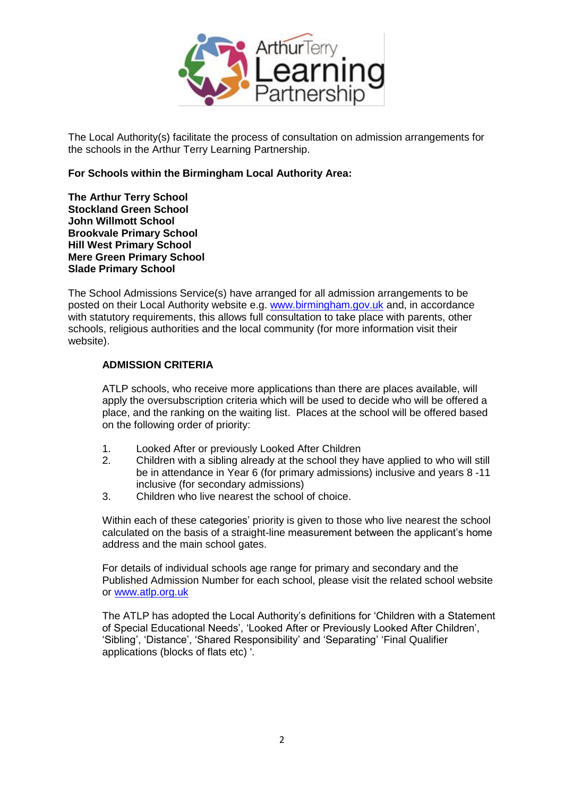

The Local Authority(s) facilitate the process of consultation on admission arrangements for the schools in the Arthur Terry Learning Partnership.

#### **For Schools within the Birmingham Local Authority Area:**

**The Arthur Terry School Stockland Green School John Willmott School Brookvale Primary School Hill West Primary School Mere Green Primary School Slade Primary School**

The School Admissions Service(s) have arranged for all admission arrangements to be posted on their Local Authority website e.g. [www.birmingham.gov.uk](http://www.birmingham.gov.uk/) and, in accordance with statutory requirements, this allows full consultation to take place with parents, other schools, religious authorities and the local community (for more information visit their website).

#### **ADMISSION CRITERIA**

ATLP schools, who receive more applications than there are places available, will apply the oversubscription criteria which will be used to decide who will be offered a place, and the ranking on the waiting list. Places at the school will be offered based on the following order of priority:

- 1. Looked After or previously Looked After Children
- 2. Children with a sibling already at the school they have applied to who will still be in attendance in Year 6 (for primary admissions) inclusive and years 8 -11 inclusive (for secondary admissions)
- 3. Children who live nearest the school of choice.

Within each of these categories' priority is given to those who live nearest the school calculated on the basis of a straight-line measurement between the applicant's home address and the main school gates.

For details of individual schools age range for primary and secondary and the Published Admission Number for each school, please visit the related school website or [www.atlp.org.uk](http://www.atlp.org.uk/)

The ATLP has adopted the Local Authority's definitions for 'Children with a Statement of Special Educational Needs', 'Looked After or Previously Looked After Children', 'Sibling', 'Distance', 'Shared Responsibility' and 'Separating' 'Final Qualifier applications (blocks of flats etc) '.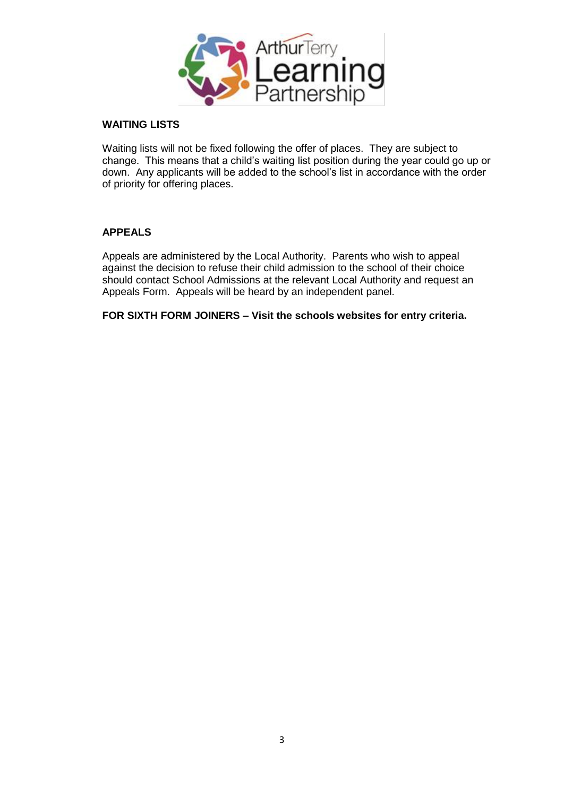

#### **WAITING LISTS**

Waiting lists will not be fixed following the offer of places. They are subject to change. This means that a child's waiting list position during the year could go up or down. Any applicants will be added to the school's list in accordance with the order of priority for offering places.

#### **APPEALS**

Appeals are administered by the Local Authority. Parents who wish to appeal against the decision to refuse their child admission to the school of their choice should contact School Admissions at the relevant Local Authority and request an Appeals Form. Appeals will be heard by an independent panel.

**FOR SIXTH FORM JOINERS – Visit the schools websites for entry criteria.**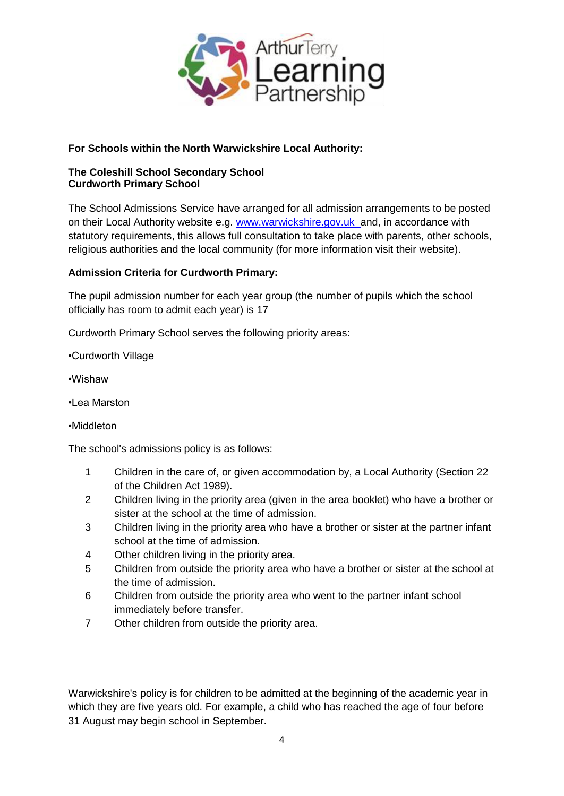

## **For Schools within the North Warwickshire Local Authority:**

### **The Coleshill School Secondary School Curdworth Primary School**

The School Admissions Service have arranged for all admission arrangements to be posted on their Local Authority website e.g. [www.warwickshire.gov.uk](http://www.warwickshire.gov.uk/) and, in accordance with statutory requirements, this allows full consultation to take place with parents, other schools, religious authorities and the local community (for more information visit their website).

## **Admission Criteria for Curdworth Primary:**

The pupil admission number for each year group (the number of pupils which the school officially has room to admit each year) is 17

Curdworth Primary School serves the following priority areas:

•Curdworth Village

- •Wishaw
- •Lea Marston
- •Middleton

The school's admissions policy is as follows:

- 1 Children in the care of, or given accommodation by, a Local Authority (Section 22 of the Children Act 1989).
- 2 Children living in the priority area (given in the area booklet) who have a brother or sister at the school at the time of admission.
- 3 Children living in the priority area who have a brother or sister at the partner infant school at the time of admission.
- 4 Other children living in the priority area.
- 5 Children from outside the priority area who have a brother or sister at the school at the time of admission.
- 6 Children from outside the priority area who went to the partner infant school immediately before transfer.
- 7 Other children from outside the priority area.

Warwickshire's policy is for children to be admitted at the beginning of the academic year in which they are five years old. For example, a child who has reached the age of four before 31 August may begin school in September.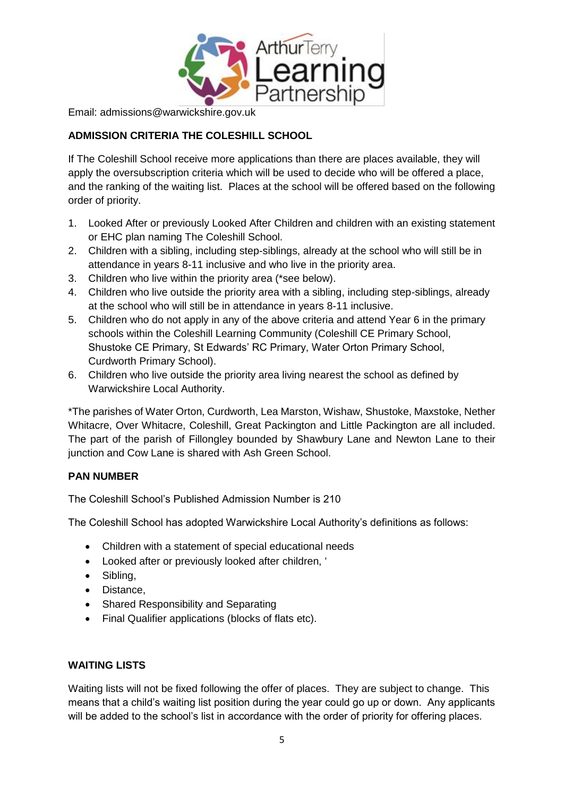

Email: admissions@warwickshire.gov.uk

## **ADMISSION CRITERIA THE COLESHILL SCHOOL**

If The Coleshill School receive more applications than there are places available, they will apply the oversubscription criteria which will be used to decide who will be offered a place, and the ranking of the waiting list. Places at the school will be offered based on the following order of priority.

- 1. Looked After or previously Looked After Children and children with an existing statement or EHC plan naming The Coleshill School.
- 2. Children with a sibling, including step-siblings, already at the school who will still be in attendance in years 8-11 inclusive and who live in the priority area.
- 3. Children who live within the priority area (\*see below).
- 4. Children who live outside the priority area with a sibling, including step-siblings, already at the school who will still be in attendance in years 8-11 inclusive.
- 5. Children who do not apply in any of the above criteria and attend Year 6 in the primary schools within the Coleshill Learning Community (Coleshill CE Primary School, Shustoke CE Primary, St Edwards' RC Primary, Water Orton Primary School, Curdworth Primary School).
- 6. Children who live outside the priority area living nearest the school as defined by Warwickshire Local Authority.

\*The parishes of Water Orton, Curdworth, Lea Marston, Wishaw, Shustoke, Maxstoke, Nether Whitacre, Over Whitacre, Coleshill, Great Packington and Little Packington are all included. The part of the parish of Fillongley bounded by Shawbury Lane and Newton Lane to their junction and Cow Lane is shared with Ash Green School.

## **PAN NUMBER**

The Coleshill School's Published Admission Number is 210

The Coleshill School has adopted Warwickshire Local Authority's definitions as follows:

- Children with a statement of special educational needs
- Looked after or previously looked after children, '
- Sibling,
- Distance,
- Shared Responsibility and Separating
- Final Qualifier applications (blocks of flats etc).

## **WAITING LISTS**

Waiting lists will not be fixed following the offer of places. They are subject to change. This means that a child's waiting list position during the year could go up or down. Any applicants will be added to the school's list in accordance with the order of priority for offering places.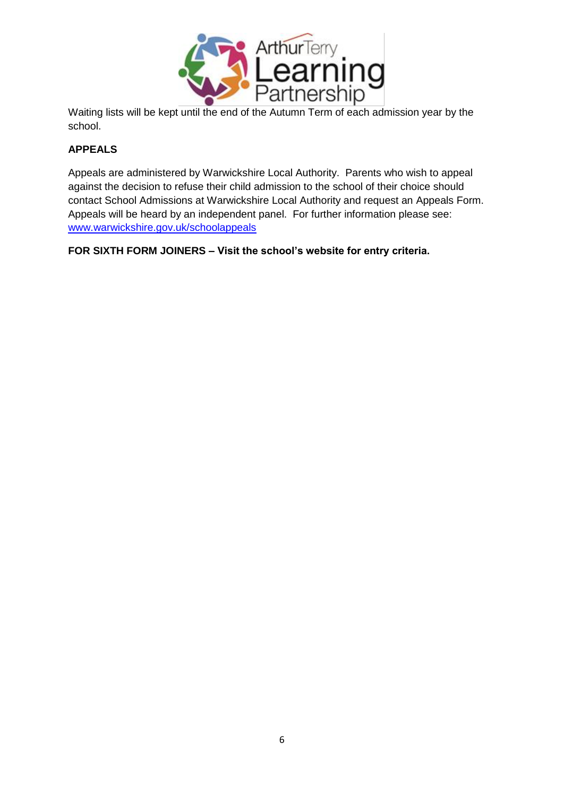

Waiting lists will be kept until the end of the Autumn Term of each admission year by the school.

## **APPEALS**

Appeals are administered by Warwickshire Local Authority. Parents who wish to appeal against the decision to refuse their child admission to the school of their choice should contact School Admissions at Warwickshire Local Authority and request an Appeals Form. Appeals will be heard by an independent panel.For further information please see: [www.warwickshire.gov.uk/schoolappeals](http://www.warwickshire.gov.uk/schoolappeals)

**FOR SIXTH FORM JOINERS – Visit the school's website for entry criteria.**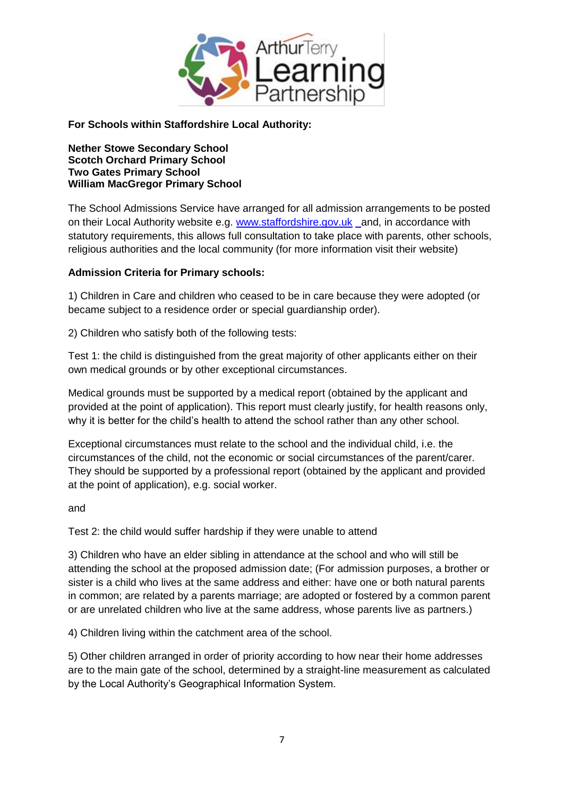

**For Schools within Staffordshire Local Authority:**

**Nether Stowe Secondary School Scotch Orchard Primary School Two Gates Primary School William MacGregor Primary School**

The School Admissions Service have arranged for all admission arrangements to be posted on their Local Authority website e.g. [www.staffordshire.gov.uk](http://www.staffordshire.gov.uk/) and, in accordance with statutory requirements, this allows full consultation to take place with parents, other schools, religious authorities and the local community (for more information visit their website)

## **Admission Criteria for Primary schools:**

1) Children in Care and children who ceased to be in care because they were adopted (or became subject to a residence order or special guardianship order).

2) Children who satisfy both of the following tests:

Test 1: the child is distinguished from the great majority of other applicants either on their own medical grounds or by other exceptional circumstances.

Medical grounds must be supported by a medical report (obtained by the applicant and provided at the point of application). This report must clearly justify, for health reasons only, why it is better for the child's health to attend the school rather than any other school.

Exceptional circumstances must relate to the school and the individual child, i.e. the circumstances of the child, not the economic or social circumstances of the parent/carer. They should be supported by a professional report (obtained by the applicant and provided at the point of application), e.g. social worker.

and

Test 2: the child would suffer hardship if they were unable to attend

3) Children who have an elder sibling in attendance at the school and who will still be attending the school at the proposed admission date; (For admission purposes, a brother or sister is a child who lives at the same address and either: have one or both natural parents in common; are related by a parents marriage; are adopted or fostered by a common parent or are unrelated children who live at the same address, whose parents live as partners.)

4) Children living within the catchment area of the school.

5) Other children arranged in order of priority according to how near their home addresses are to the main gate of the school, determined by a straight-line measurement as calculated by the Local Authority's Geographical Information System.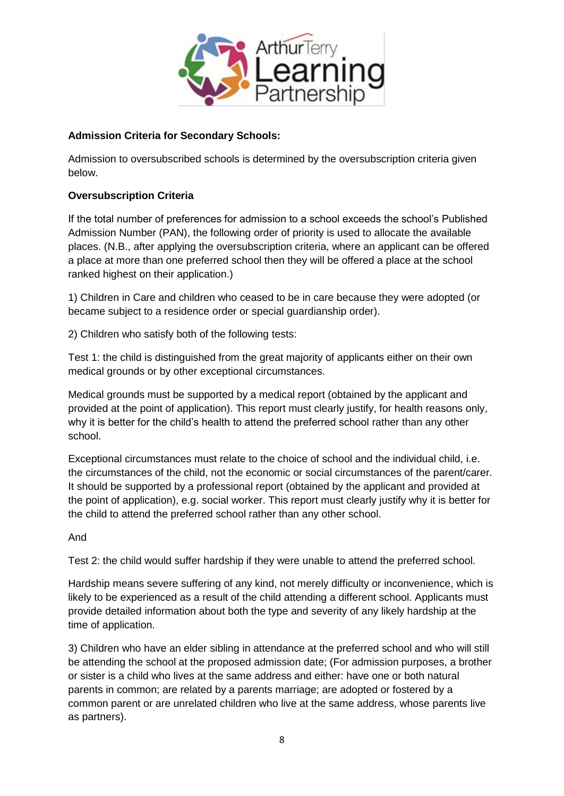

## **Admission Criteria for Secondary Schools:**

Admission to oversubscribed schools is determined by the oversubscription criteria given below.

### **Oversubscription Criteria**

If the total number of preferences for admission to a school exceeds the school's Published Admission Number (PAN), the following order of priority is used to allocate the available places. (N.B., after applying the oversubscription criteria, where an applicant can be offered a place at more than one preferred school then they will be offered a place at the school ranked highest on their application.)

1) Children in Care and children who ceased to be in care because they were adopted (or became subject to a residence order or special guardianship order).

2) Children who satisfy both of the following tests:

Test 1: the child is distinguished from the great majority of applicants either on their own medical grounds or by other exceptional circumstances.

Medical grounds must be supported by a medical report (obtained by the applicant and provided at the point of application). This report must clearly justify, for health reasons only, why it is better for the child's health to attend the preferred school rather than any other school.

Exceptional circumstances must relate to the choice of school and the individual child, i.e. the circumstances of the child, not the economic or social circumstances of the parent/carer. It should be supported by a professional report (obtained by the applicant and provided at the point of application), e.g. social worker. This report must clearly justify why it is better for the child to attend the preferred school rather than any other school.

And

Test 2: the child would suffer hardship if they were unable to attend the preferred school.

Hardship means severe suffering of any kind, not merely difficulty or inconvenience, which is likely to be experienced as a result of the child attending a different school. Applicants must provide detailed information about both the type and severity of any likely hardship at the time of application.

3) Children who have an elder sibling in attendance at the preferred school and who will still be attending the school at the proposed admission date; (For admission purposes, a brother or sister is a child who lives at the same address and either: have one or both natural parents in common; are related by a parents marriage; are adopted or fostered by a common parent or are unrelated children who live at the same address, whose parents live as partners).